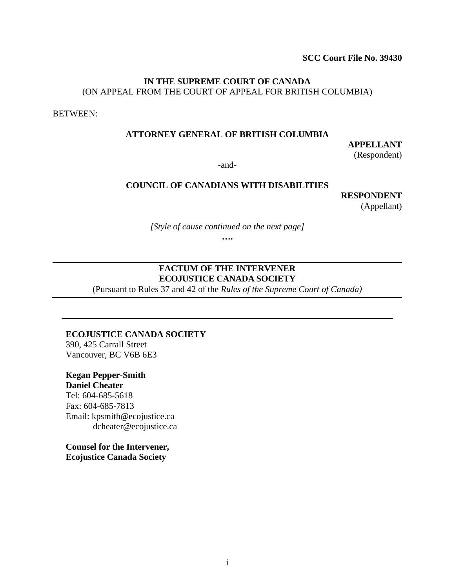**SCC Court File No. 39430**

## **IN THE SUPREME COURT OF CANADA** (ON APPEAL FROM THE COURT OF APPEAL FOR BRITISH COLUMBIA)

BETWEEN:

#### **ATTORNEY GENERAL OF BRITISH COLUMBIA**

**APPELLANT** (Respondent)

-and-

#### **COUNCIL OF CANADIANS WITH DISABILITIES**

**RESPONDENT**

(Appellant)

*[Style of cause continued on the next page]*

**….**

## **FACTUM OF THE INTERVENER ECOJUSTICE CANADA SOCIETY**

(Pursuant to Rules 37 and 42 of the *Rules of the Supreme Court of Canada)*

#### **ECOJUSTICE CANADA SOCIETY**

390, 425 Carrall Street Vancouver, BC V6B 6E3

**Kegan Pepper-Smith**

**Daniel Cheater**

Tel: 604-685-5618 Fax: 604-685-7813 Email: kpsmith@ecojustice.ca dcheater@ecojustice.ca

**Counsel for the Intervener, Ecojustice Canada Society**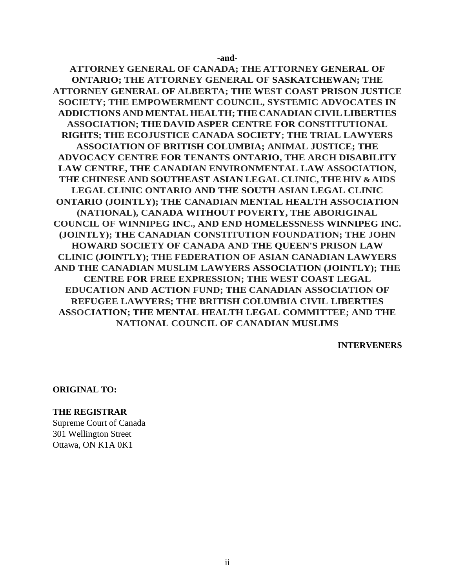**-and-**

**ATTORNEY GENERAL OF CANADA; THE ATTORNEY GENERAL OF ONTARIO; THE ATTORNEY GENERAL OF SASKATCHEWAN; THE ATTORNEY GENERAL OF ALBERTA; THE WEST COAST PRISON JUSTICE SOCIETY; THE EMPOWERMENT COUNCIL, SYSTEMIC ADVOCATES IN ADDICTIONS AND MENTAL HEALTH;THE CANADIAN CIVILLIBERTIES ASSOCIATION; THE DAVID ASPER CENTRE FOR CONSTITUTIONAL RIGHTS; THE ECOJUSTICE CANADA SOCIETY; THE TRIAL LAWYERS ASSOCIATION OF BRITISH COLUMBIA; ANIMAL JUSTICE; THE ADVOCACY CENTRE FOR TENANTS ONTARIO, THE ARCH DISABILITY LAW CENTRE, THE CANADIAN ENVIRONMENTAL LAW ASSOCIATION, THE CHINESE AND SOUTHEAST ASIAN LEGAL CLINIC, THE HIV & AIDS LEGAL CLINIC ONTARIO AND THE SOUTH ASIAN LEGAL CLINIC ONTARIO (JOINTLY); THE CANADIAN MENTAL HEALTH ASSOCIATION (NATIONAL), CANADA WITHOUT POVERTY, THE ABORIGINAL COUNCIL OF WINNIPEG INC., AND END HOMELESSNESS WINNIPEG INC. (JOINTLY); THE CANADIAN CONSTITUTION FOUNDATION; THE JOHN HOWARD SOCIETY OF CANADA AND THE QUEEN'S PRISON LAW CLINIC (JOINTLY); THE FEDERATION OF ASIAN CANADIAN LAWYERS AND THE CANADIAN MUSLIM LAWYERS ASSOCIATION (JOINTLY); THE CENTRE FOR FREE EXPRESSION; THE WEST COAST LEGAL EDUCATION AND ACTION FUND; THE CANADIAN ASSOCIATION OF REFUGEE LAWYERS; THE BRITISH COLUMBIA CIVIL LIBERTIES ASSOCIATION; THE MENTAL HEALTH LEGAL COMMITTEE; AND THE NATIONAL COUNCIL OF CANADIAN MUSLIMS**

**INTERVENERS**

**ORIGINAL TO:**

#### **THE REGISTRAR**

Supreme Court of Canada 301 Wellington Street Ottawa, ON K1A 0K1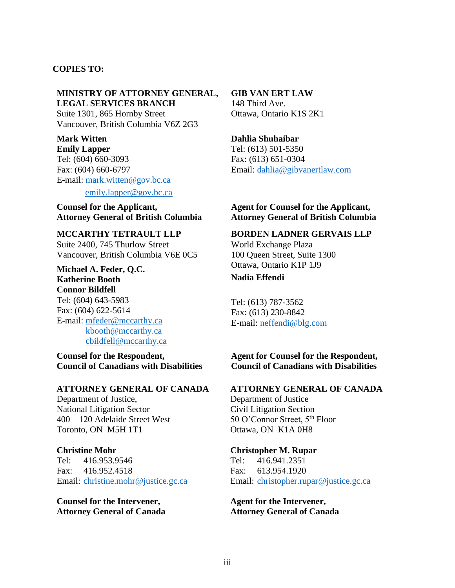#### **COPIES TO:**

#### **MINISTRY OF ATTORNEY GENERAL, LEGAL SERVICES BRANCH**

Suite 1301, 865 Hornby Street Vancouver, British Columbia V6Z 2G3

**Mark Witten Emily Lapper** Tel: (604) 660-3093 Fax: (604) 660-6797 E-mail: [mark.witten@gov.bc.ca](mailto:mark.witten@gov.bc.ca)

[emily.lapper@gov.bc.ca](mailto:emily.lapper@gov.bc.ca)

**Counsel for the Applicant, Attorney General of British Columbia**

**MCCARTHY TETRAULT LLP** Suite 2400, 745 Thurlow Street Vancouver, British Columbia V6E 0C5

**Michael A. Feder, Q.C. Katherine Booth Connor Bildfell** Tel: (604) 643-5983 Fax: (604) 622-5614 E-mail: [mfeder@mccarthy.ca](mailto:mfeder@mccarthy.ca) [kbooth@mccarthy.ca](mailto:kbooth@mccarthy.ca) [cbildfell@mccarthy.ca](mailto:cbildfell@mccarthy.ca)

**Counsel for the Respondent, Council of Canadians with Disabilities**

## **ATTORNEY GENERAL OF CANADA**

Department of Justice, National Litigation Sector 400 – 120 Adelaide Street West Toronto, ON M5H 1T1

#### **Christine Mohr**

Tel: 416.953.9546 Fax: 416.952.4518 Email: [christine.mohr@justice.gc.ca](mailto:christine.mohr@justice.gc.ca)

**Counsel for the Intervener, Attorney General of Canada**

#### **GIB VAN ERT LAW**

148 Third Ave. Ottawa, Ontario K1S 2K1

#### **Dahlia Shuhaibar**

Tel: (613) 501-5350 Fax: (613) 651-0304 Email: [dahlia@gibvanertlaw.com](mailto:dahlia@gibvanertlaw.com)

#### **Agent for Counsel for the Applicant, Attorney General of British Columbia**

**BORDEN LADNER GERVAIS LLP**

World Exchange Plaza 100 Queen Street, Suite 1300 Ottawa, Ontario K1P 1J9

#### **Nadia Effendi**

Tel: (613) 787-3562 Fax: (613) 230-8842 E-mail: [neffendi@blg.com](mailto:neffendi@blg.com)

## **Agent for Counsel for the Respondent, Council of Canadians with Disabilities**

#### **ATTORNEY GENERAL OF CANADA**

Department of Justice Civil Litigation Section 50 O'Connor Street, 5<sup>th</sup> Floor Ottawa, ON K1A 0H8

## **Christopher M. Rupar**

Tel: 416.941.2351 Fax: 613.954.1920 Email: [christopher.rupar@justice.gc.ca](mailto:christopher.rupar@justice.gc.ca)

**Agent for the Intervener, Attorney General of Canada**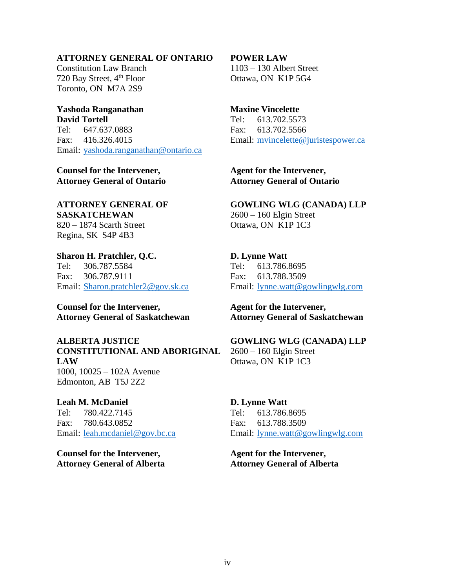## **ATTORNEY GENERAL OF ONTARIO**

Constitution Law Branch 720 Bay Street, 4<sup>th</sup> Floor Toronto, ON M7A 2S9

#### **Yashoda Ranganathan David Tortell** Tel: 647.637.0883

Fax: 416.326.4015 Email: [yashoda.ranganathan@ontario.ca](mailto:yashoda.ranganathan@ontario.ca)

**Counsel for the Intervener, Attorney General of Ontario**

## **ATTORNEY GENERAL OF SASKATCHEWAN**

820 – 1874 Scarth Street Regina, SK S4P 4B3

**Sharon H. Pratchler, Q.C.** Tel: 306.787.5584 Fax: 306.787.9111 Email: [Sharon.pratchler2@gov.sk.ca](mailto:Sharon.pratchler2@gov.sk.ca)

**Counsel for the Intervener, Attorney General of Saskatchewan**

**ALBERTA JUSTICE CONSTITUTIONAL AND ABORIGINAL LAW** 1000, 10025 – 102A Avenue Edmonton, AB T5J 2Z2

**Leah M. McDaniel**

Tel: 780.422.7145 Fax: 780.643.0852 Email: [leah.mcdaniel@gov.bc.ca](mailto:leah.mcdaniel@gov.bc.ca)

**Counsel for the Intervener, Attorney General of Alberta**

### **POWER LAW**

1103 – 130 Albert Street Ottawa, ON K1P 5G4

#### **Maxine Vincelette**

Tel: 613.702.5573 Fax: 613.702.5566 Email: [mvincelette@juristespower.ca](mailto:mvincelette@juristespower.ca)

**Agent for the Intervener, Attorney General of Ontario**

## **GOWLING WLG (CANADA) LLP** 2600 – 160 Elgin Street

Ottawa, ON K1P 1C3

## **D. Lynne Watt** Tel: 613.786.8695 Fax: 613.788.3509 Email: [lynne.watt@gowlingwlg.com](mailto:lynne.watt@gowlingwlg.com)

**Agent for the Intervener, Attorney General of Saskatchewan**

## **GOWLING WLG (CANADA) LLP** 2600 – 160 Elgin Street

Ottawa, ON K1P 1C3

## **D. Lynne Watt**

Tel: 613.786.8695 Fax: 613.788.3509 Email: [lynne.watt@gowlingwlg.com](mailto:lynne.watt@gowlingwlg.com)

**Agent for the Intervener, Attorney General of Alberta**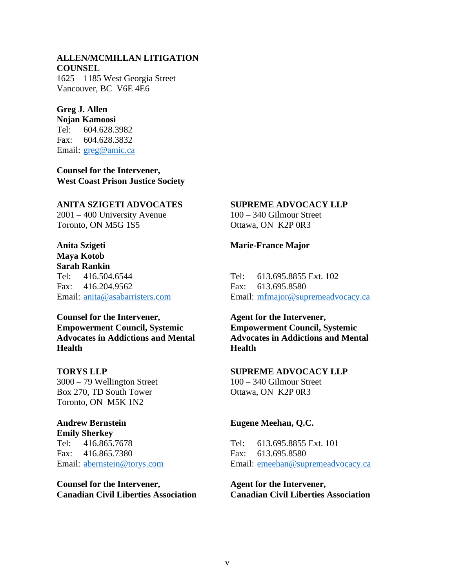## **ALLEN/MCMILLAN LITIGATION COUNSEL**

1625 – 1185 West Georgia Street Vancouver, BC V6E 4E6

## **Greg J. Allen**

**Nojan Kamoosi** Tel: 604.628.3982 Fax: 604.628.3832 Email: [greg@amic.ca](mailto:greg@amic.ca)

**Counsel for the Intervener, West Coast Prison Justice Society**

### **ANITA SZIGETI ADVOCATES**

2001 – 400 University Avenue Toronto, ON M5G 1S5

## **Anita Szigeti**

**Maya Kotob Sarah Rankin** Tel: 416.504.6544 Fax: 416.204.9562 Email: [anita@asabarristers.com](mailto:anita@asabarristers.com)

## **Counsel for the Intervener, Empowerment Council, Systemic Advocates in Addictions and Mental Health**

**TORYS LLP**

3000 – 79 Wellington Street Box 270, TD South Tower Toronto, ON M5K 1N2

## **Andrew Bernstein**

**Emily Sherkey** Tel: 416.865.7678 Fax: 416.865.7380 Email: [abernstein@torys.com](mailto:abernstein@torys.com)

**Counsel for the Intervener, Canadian Civil Liberties Association**

## **SUPREME ADVOCACY LLP**

100 – 340 Gilmour Street Ottawa, ON K2P 0R3

**Marie-France Major**

Tel: 613.695.8855 Ext. 102 Fax: 613.695.8580 Email: [mfmajor@supremeadvocacy.ca](mailto:mfmajor@supremeadvocacy.ca)

**Agent for the Intervener, Empowerment Council, Systemic Advocates in Addictions and Mental Health**

## **SUPREME ADVOCACY LLP** 100 – 340 Gilmour Street Ottawa, ON K2P 0R3

## **Eugene Meehan, Q.C.**

Tel: 613.695.8855 Ext. 101 Fax: 613.695.8580 Email: [emeehan@supremeadvocacy.ca](mailto:emeehan@supremeadvocacy.ca)

**Agent for the Intervener, Canadian Civil Liberties Association**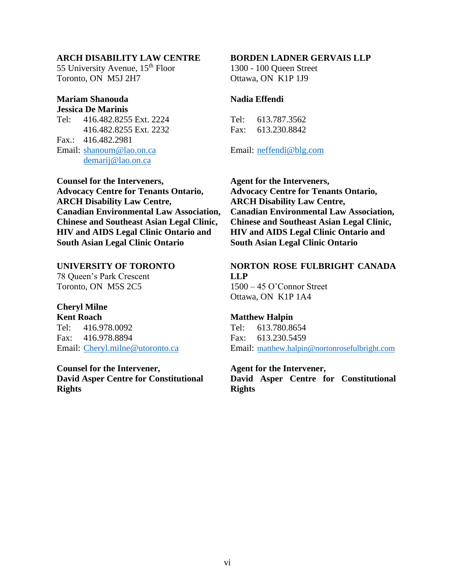#### **ARCH DISABILITY LAW CENTRE**

55 University Avenue, 15<sup>th</sup> Floor Toronto, ON M5J 2H7

#### **Mariam Shanouda Jessica De Marinis**

Tel: 416.482.8255 Ext. 2224 416.482.8255 Ext. 2232 Fax.: 416.482.2981 Email: [shanoum@lao.on.ca](mailto:shanoum@lao.on.ca) [demarij@lao.on.ca](mailto:demarij@lao.on.ca)

**Counsel for the Interveners, Advocacy Centre for Tenants Ontario, ARCH Disability Law Centre, Canadian Environmental Law Association, Chinese and Southeast Asian Legal Clinic, HIV and AIDS Legal Clinic Ontario and South Asian Legal Clinic Ontario**

#### **UNIVERSITY OF TORONTO**

78 Queen's Park Crescent Toronto, ON M5S 2C5

## **Cheryl Milne**

**Kent Roach** Tel: 416.978.0092 Fax: 416.978.8894 Email: [Cheryl.milne@utoronto.ca](mailto:Cheryl.milne@utoronto.ca)

**Counsel for the Intervener, David Asper Centre for Constitutional Rights**

## **BORDEN LADNER GERVAIS LLP**

1300 - 100 Queen Street Ottawa, ON K1P 1J9

#### **Nadia Effendi**

Tel: 613.787.3562 Fax: 613.230.8842

Email: [neffendi@blg.com](mailto:neffendi@blg.com)

**Agent for the Interveners, Advocacy Centre for Tenants Ontario, ARCH Disability Law Centre, Canadian Environmental Law Association, Chinese and Southeast Asian Legal Clinic, HIV and AIDS Legal Clinic Ontario and South Asian Legal Clinic Ontario**

#### **NORTON ROSE FULBRIGHT CANADA LLP** 1500 – 45 O'Connor Street

Ottawa, ON K1P 1A4

#### **Matthew Halpin**

Tel: 613.780.8654 Fax: 613.230.5459 Email: [matthew.halpin@nortonrosefulbright.com](mailto:matthew.halpin@nortonrosefulbright.com)

#### **Agent for the Intervener,**

**David Asper Centre for Constitutional Rights**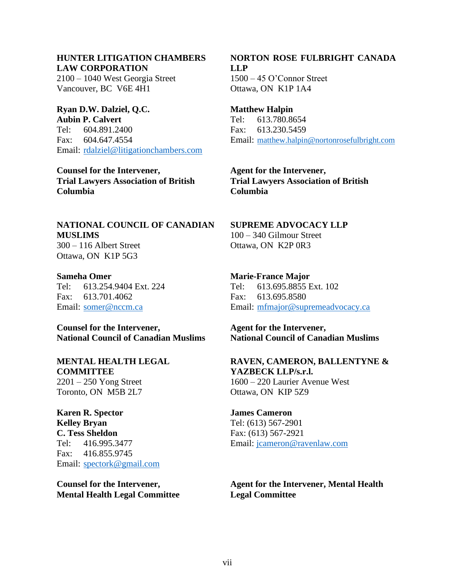## **HUNTER LITIGATION CHAMBERS LAW CORPORATION**

2100 – 1040 West Georgia Street Vancouver, BC V6E 4H1

**Ryan D.W. Dalziel, Q.C. Aubin P. Calvert** Tel: 604.891.2400 Fax: 604.647.4554 Email: [rdalziel@litigationchambers.com](mailto:rdalziel@litigationchambers.com)

**Counsel for the Intervener, Trial Lawyers Association of British Columbia**

### **NATIONAL COUNCIL OF CANADIAN MUSLIMS** 300 – 116 Albert Street Ottawa, ON K1P 5G3

**Sameha Omer** Tel: 613.254.9404 Ext. 224 Fax: 613.701.4062

Email: [somer@nccm.ca](mailto:somer@nccm.ca)

**Counsel for the Intervener, National Council of Canadian Muslims**

**MENTAL HEALTH LEGAL COMMITTEE** 2201 – 250 Yong Street Toronto, ON M5B 2L7

**Karen R. Spector Kelley Bryan C. Tess Sheldon** Tel: 416.995.3477 Fax: 416.855.9745 Email: [spectork@gmail.com](mailto:spectork@gmail.com)

**Counsel for the Intervener, Mental Health Legal Committee** **NORTON ROSE FULBRIGHT CANADA LLP** 1500 – 45 O'Connor Street Ottawa, ON K1P 1A4

**Matthew Halpin** Tel: 613.780.8654 Fax: 613.230.5459 Email: [matthew.halpin@nortonrosefulbright.com](mailto:matthew.halpin@nortonrosefulbright.com)

**Agent for the Intervener, Trial Lawyers Association of British Columbia**

**SUPREME ADVOCACY LLP** 100 – 340 Gilmour Street Ottawa, ON K2P 0R3

**Marie-France Major** Tel: 613.695.8855 Ext. 102 Fax: 613.695.8580 Email: [mfmajor@supremeadvocacy.ca](mailto:mfmajor@supremeadvocacy.ca)

**Agent for the Intervener, National Council of Canadian Muslims**

**RAVEN, CAMERON, BALLENTYNE & YAZBECK LLP/s.r.l.** 1600 – 220 Laurier Avenue West Ottawa, ON KIP 5Z9

**James Cameron** Tel: (613) 567-2901 Fax: (613) 567-2921 Email: [jcameron@ravenlaw.com](mailto:jcameron@ravenlaw.com)

**Agent for the Intervener, Mental Health Legal Committee**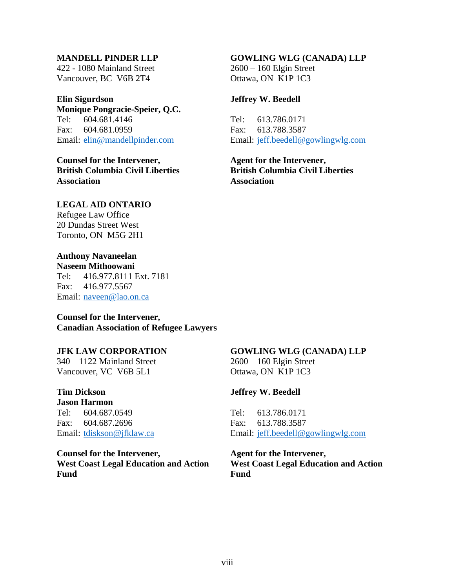#### **MANDELL PINDER LLP**

422 - 1080 Mainland Street Vancouver, BC V6B 2T4

#### **Elin Sigurdson**

**Monique Pongracie-Speier, Q.C.** Tel: 604.681.4146 Fax: 604.681.0959 Email: [elin@mandellpinder.com](mailto:elin@mandellpinder.com)

**Counsel for the Intervener, British Columbia Civil Liberties Association**

## **LEGAL AID ONTARIO**

Refugee Law Office 20 Dundas Street West Toronto, ON M5G 2H1

## **Anthony Navaneelan**

**Naseem Mithoowani** Tel: 416.977.8111 Ext. 7181 Fax: 416.977.5567 Email: [naveen@lao.on.ca](mailto:naveen@lao.on.ca)

# **Counsel for the Intervener,**

# **Canadian Association of Refugee Lawyers**

#### **JFK LAW CORPORATION**

340 – 1122 Mainland Street Vancouver, VC V6B 5L1

## **Tim Dickson**

**Jason Harmon** Tel: 604.687.0549 Fax: 604.687.2696 Email: [tdiskson@jfklaw.ca](mailto:tdiskson@jfklaw.ca)

**Counsel for the Intervener, West Coast Legal Education and Action Fund**

#### **GOWLING WLG (CANADA) LLP**

2600 – 160 Elgin Street Ottawa, ON K1P 1C3

#### **Jeffrey W. Beedell**

Tel: 613.786.0171 Fax: 613.788.3587 Email: [jeff.beedell@gowlingwlg.com](mailto:jeff.beedell@gowlingwlg.com)

**Agent for the Intervener, British Columbia Civil Liberties Association**

#### **GOWLING WLG (CANADA) LLP**

2600 – 160 Elgin Street Ottawa, ON K1P 1C3

#### **Jeffrey W. Beedell**

Tel: 613.786.0171 Fax: 613.788.3587 Email: [jeff.beedell@gowlingwlg.com](mailto:jeff.beedell@gowlingwlg.com)

#### **Agent for the Intervener, West Coast Legal Education and Action Fund**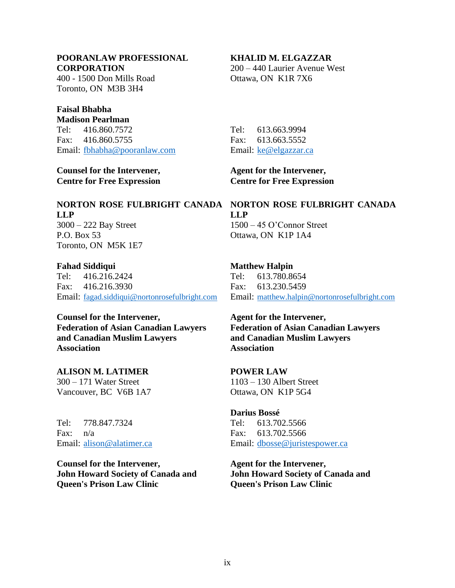## **POORANLAW PROFESSIONAL CORPORATION**

400 - 1500 Don Mills Road Toronto, ON M3B 3H4

## **Faisal Bhabha**

**Madison Pearlman** Tel: 416.860.7572 Fax: 416.860.5755 Email: [fbhabha@pooranlaw.com](mailto:fbhabha@pooranlaw.com)

**Counsel for the Intervener, Centre for Free Expression**

# **LLP** 3000 – 222 Bay Street

P.O. Box 53 Toronto, ON M5K 1E7

## **Fahad Siddiqui**

Tel: 416.216.2424 Fax: 416.216.3930 Email: [fagad.siddiqui@nortonrosefulbright.com](mailto:fagad.siddiqui@nortonrosefulbright.com)

## **Counsel for the Intervener, Federation of Asian Canadian Lawyers**

**and Canadian Muslim Lawyers Association**

## **ALISON M. LATIMER**

300 – 171 Water Street Vancouver, BC V6B 1A7

Tel: 778.847.7324 Fax: n/a Email: [alison@alatimer.ca](mailto:alison@alatimer.ca)

**Counsel for the Intervener, John Howard Society of Canada and Queen's Prison Law Clinic**

## **KHALID M. ELGAZZAR**

200 – 440 Laurier Avenue West Ottawa, ON K1R 7X6

Tel: 613.663.9994 Fax: 613.663.5552 Email: [ke@elgazzar.ca](mailto:ke@elgazzar.ca)

**Agent for the Intervener, Centre for Free Expression**

**NORTON ROSE FULBRIGHT CANADA NORTON ROSE FULBRIGHT CANADA LLP** 1500 – 45 O'Connor Street Ottawa, ON K1P 1A4

## **Matthew Halpin**

Tel: 613.780.8654 Fax: 613.230.5459 Email: [matthew.halpin@nortonrosefulbright.com](mailto:matthew.halpin@nortonrosefulbright.com)

**Agent for the Intervener, Federation of Asian Canadian Lawyers and Canadian Muslim Lawyers Association**

## **POWER LAW**

1103 – 130 Albert Street Ottawa, ON K1P 5G4

#### **Darius Bossé**

Tel: 613.702.5566 Fax: 613.702.5566 Email: [dbosse@juristespower.ca](mailto:dbosse@juristespower.ca)

**Agent for the Intervener, John Howard Society of Canada and Queen's Prison Law Clinic**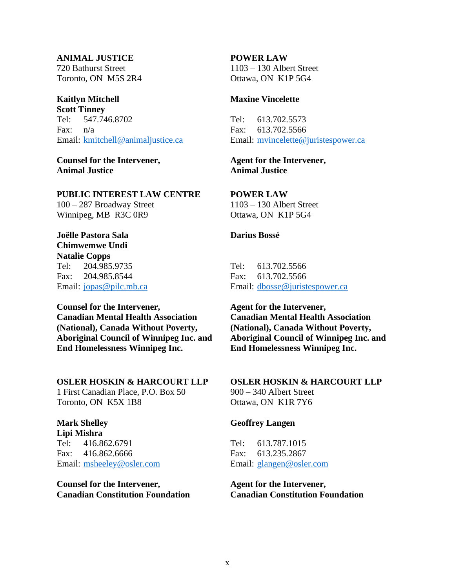#### **ANIMAL JUSTICE**

720 Bathurst Street Toronto, ON M5S 2R4

#### **Kaitlyn Mitchell**

**Scott Tinney** Tel: 547.746.8702 Fax: n/a Email: [kmitchell@animaljustice.ca](mailto:kmitchell@animaljustice.ca)

**Counsel for the Intervener, Animal Justice**

#### **PUBLIC INTEREST LAW CENTRE**

100 – 287 Broadway Street Winnipeg, MB R3C 0R9

## **Joëlle Pastora Sala Chimwemwe Undi Natalie Copps**

Tel: 204.985.9735 Fax: 204.985.8544 Email: [jopas@pilc.mb.ca](mailto:jopas@pilc.mb.ca)

## **Counsel for the Intervener, Canadian Mental Health Association (National), Canada Without Poverty, Aboriginal Council of Winnipeg Inc. and End Homelessness Winnipeg Inc.**

#### **OSLER HOSKIN & HARCOURT LLP**

1 First Canadian Place, P.O. Box 50 Toronto, ON K5X 1B8

## **Mark Shelley**

**Lipi Mishra** Tel: 416.862.6791 Fax: 416.862.6666 Email: [msheeley@osler.com](mailto:msheeley@osler.com)

**Counsel for the Intervener, Canadian Constitution Foundation**

## **POWER LAW**

1103 – 130 Albert Street Ottawa, ON K1P 5G4

#### **Maxine Vincelette**

Tel: 613.702.5573 Fax: 613.702.5566 Email: [mvincelette@juristespower.ca](mailto:mvincelette@juristespower.ca)

#### **Agent for the Intervener, Animal Justice**

#### **POWER LAW**

1103 – 130 Albert Street Ottawa, ON K1P 5G4

#### **Darius Bossé**

Tel: 613.702.5566 Fax: 613.702.5566 Email: [dbosse@juristespower.ca](mailto:dbosse@juristespower.ca)

**Agent for the Intervener, Canadian Mental Health Association (National), Canada Without Poverty, Aboriginal Council of Winnipeg Inc. and End Homelessness Winnipeg Inc.**

## **OSLER HOSKIN & HARCOURT LLP** 900 – 340 Albert Street

Ottawa, ON K1R 7Y6

#### **Geoffrey Langen**

Tel: 613.787.1015 Fax: 613.235.2867 Email: [glangen@osler.com](mailto:glangen@osler.com)

**Agent for the Intervener, Canadian Constitution Foundation**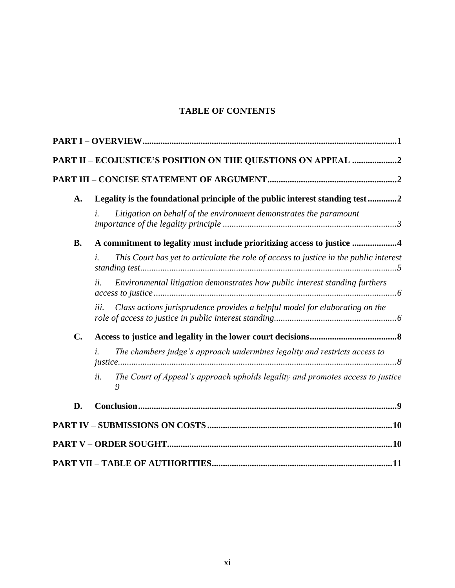## **TABLE OF CONTENTS**

|                | PART II - ECOJUSTICE'S POSITION ON THE QUESTIONS ON APPEAL 2                               |
|----------------|--------------------------------------------------------------------------------------------|
|                |                                                                                            |
| A.             | Legality is the foundational principle of the public interest standing test2               |
|                | Litigation on behalf of the environment demonstrates the paramount                         |
| <b>B.</b>      | A commitment to legality must include prioritizing access to justice 4                     |
|                | This Court has yet to articulate the role of access to justice in the public interest      |
|                | Environmental litigation demonstrates how public interest standing furthers<br>ii.         |
|                | Class actions jurisprudence provides a helpful model for elaborating on the<br>iii.        |
| $\mathbf{C}$ . |                                                                                            |
|                | The chambers judge's approach undermines legality and restricts access to<br>i.            |
|                | The Court of Appeal's approach upholds legality and promotes access to justice<br>ii.<br>9 |
| D.             |                                                                                            |
|                |                                                                                            |
|                |                                                                                            |
|                |                                                                                            |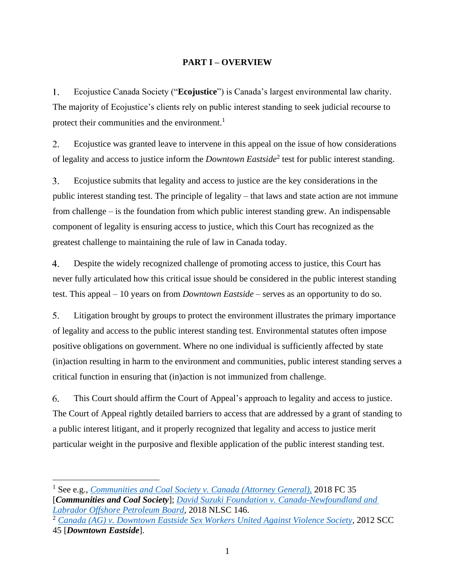## **PART I – OVERVIEW**

<span id="page-11-0"></span>Ecojustice Canada Society ("**Ecojustice**") is Canada's largest environmental law charity.  $1<sub>1</sub>$ The majority of Ecojustice's clients rely on public interest standing to seek judicial recourse to protect their communities and the environment.<sup>1</sup>

2. Ecojustice was granted leave to intervene in this appeal on the issue of how considerations of legality and access to justice inform the *Downtown Eastside*<sup>2</sup> test for public interest standing.

 $3.$ Ecojustice submits that legality and access to justice are the key considerations in the public interest standing test. The principle of legality – that laws and state action are not immune from challenge – is the foundation from which public interest standing grew. An indispensable component of legality is ensuring access to justice, which this Court has recognized as the greatest challenge to maintaining the rule of law in Canada today.

Despite the widely recognized challenge of promoting access to justice, this Court has  $\overline{4}$ never fully articulated how this critical issue should be considered in the public interest standing test. This appeal – 10 years on from *Downtown Eastside* – serves as an opportunity to do so.

 $5<sub>1</sub>$ Litigation brought by groups to protect the environment illustrates the primary importance of legality and access to the public interest standing test. Environmental statutes often impose positive obligations on government. Where no one individual is sufficiently affected by state (in)action resulting in harm to the environment and communities, public interest standing serves a critical function in ensuring that (in)action is not immunized from challenge.

6. This Court should affirm the Court of Appeal's approach to legality and access to justice. The Court of Appeal rightly detailed barriers to access that are addressed by a grant of standing to a public interest litigant, and it properly recognized that legality and access to justice merit particular weight in the purposive and flexible application of the public interest standing test.

<sup>1</sup> See e.g., *[Communities and Coal Society v.](https://www.canlii.org/en/ca/fct/doc/2018/2018fc35/2018fc35.html) Canada (Attorney General),* 2018 FC 35 [*Communities and Coal Society*]; *David Suzuki Foundation v. [Canada-Newfoundland and](https://www.canlii.org/en/nl/nlsc/doc/2018/2018nlsc146/2018nlsc146.html)  [Labrador Offshore Petroleum Board,](https://www.canlii.org/en/nl/nlsc/doc/2018/2018nlsc146/2018nlsc146.html)* 2018 NLSC 146.

<sup>2</sup> *Canada (AG) v. [Downtown Eastside Sex Workers United Against Violence Society,](https://www.canlii.org/en/ca/scc/doc/2012/2012scc45/2012scc45.html)* 2012 SCC 45 [*Downtown Eastside*].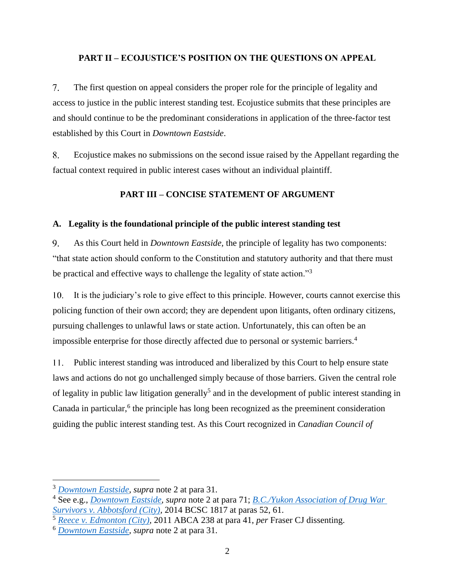#### <span id="page-12-0"></span>**PART II – ECOJUSTICE'S POSITION ON THE QUESTIONS ON APPEAL**

 $7<sub>1</sub>$ The first question on appeal considers the proper role for the principle of legality and access to justice in the public interest standing test. Ecojustice submits that these principles are and should continue to be the predominant considerations in application of the three-factor test established by this Court in *Downtown Eastside*.

8. Ecojustice makes no submissions on the second issue raised by the Appellant regarding the factual context required in public interest cases without an individual plaintiff.

## **PART III – CONCISE STATEMENT OF ARGUMENT**

#### <span id="page-12-2"></span><span id="page-12-1"></span>**A. Legality is the foundational principle of the public interest standing test**

 $9<sub>1</sub>$ As this Court held in *Downtown Eastside,* the principle of legality has two components: "that state action should conform to the Constitution and statutory authority and that there must be practical and effective ways to challenge the legality of state action."<sup>3</sup>

 $10.$ It is the judiciary's role to give effect to this principle. However, courts cannot exercise this policing function of their own accord; they are dependent upon litigants, often ordinary citizens, pursuing challenges to unlawful laws or state action. Unfortunately, this can often be an impossible enterprise for those directly affected due to personal or systemic barriers. 4

11. Public interest standing was introduced and liberalized by this Court to help ensure state laws and actions do not go unchallenged simply because of those barriers. Given the central role of legality in public law litigation generally<sup>5</sup> and in the development of public interest standing in Canada in particular,<sup>6</sup> the principle has long been recognized as the preeminent consideration guiding the public interest standing test. As this Court recognized in *Canadian Council of* 

<sup>3</sup> *[Downtown Eastside,](https://www.canlii.org/en/ca/scc/doc/2012/2012scc45/2012scc45.html#par31) supra* note 2 at para 31.

<sup>4</sup> See e.g., *[Downtown Eastside,](https://www.canlii.org/en/ca/scc/doc/2012/2012scc45/2012scc45.html#par71) supra* note 2 at para 71; *[B.C./Yukon Association of Drug War](https://www.canlii.org/en/bc/bcsc/doc/2014/2014bcsc1817/2014bcsc1817.html#par52)  [Survivors v. Abbotsford \(City\),](https://www.canlii.org/en/bc/bcsc/doc/2014/2014bcsc1817/2014bcsc1817.html#par52)* 2014 BCSC 1817 at paras 52, 61.

<sup>5</sup> *[Reece v. Edmonton \(City\),](https://www.canlii.org/en/ab/abca/doc/2011/2011abca238/2011abca238.html#par41)* 2011 ABCA 238 at para 41, *per* Fraser CJ dissenting.

<sup>6</sup> *[Downtown Eastside,](https://www.canlii.org/en/ca/scc/doc/2012/2012scc45/2012scc45.html#par31) supra* note 2 at para 31.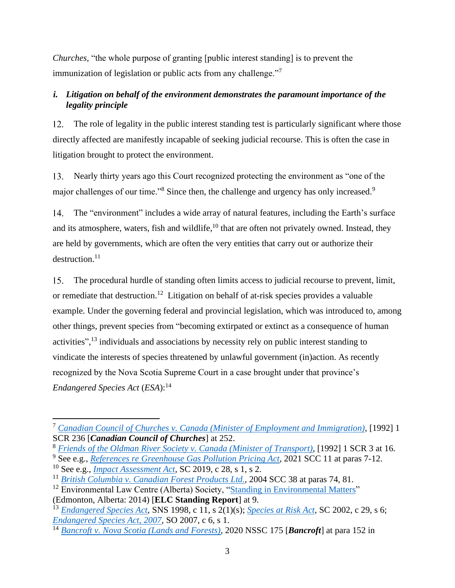*Churches,* "the whole purpose of granting [public interest standing] is to prevent the immunization of legislation or public acts from any challenge."<sup>7</sup>

## <span id="page-13-0"></span>*i. Litigation on behalf of the environment demonstrates the paramount importance of the legality principle*

The role of legality in the public interest standing test is particularly significant where those  $12<sup>12</sup>$ directly affected are manifestly incapable of seeking judicial recourse. This is often the case in litigation brought to protect the environment.

13. Nearly thirty years ago this Court recognized protecting the environment as "one of the major challenges of our time."<sup>8</sup> Since then, the challenge and urgency has only increased.<sup>9</sup>

 $14.$ The "environment" includes a wide array of natural features, including the Earth's surface and its atmosphere, waters, fish and wildlife,<sup>10</sup> that are often not privately owned. Instead, they are held by governments, which are often the very entities that carry out or authorize their destruction.<sup>11</sup>

The procedural hurdle of standing often limits access to judicial recourse to prevent, limit, 15. or remediate that destruction.<sup>12</sup> Litigation on behalf of at-risk species provides a valuable example. Under the governing federal and provincial legislation, which was introduced to, among other things, prevent species from "becoming extirpated or extinct as a consequence of human activities",<sup>13</sup> individuals and associations by necessity rely on public interest standing to vindicate the interests of species threatened by unlawful government (in)action. As recently recognized by the Nova Scotia Supreme Court in a case brought under that province's *Endangered Species Act* (*ESA*): 14

<sup>7</sup> *Canadian Council of Churches v. [Canada \(Minister of Employment and Immigration\),](https://www.canlii.org/en/ca/scc/doc/1992/1992canlii116/1992canlii116.html)* [1992] 1 SCR 236 [*Canadian Council of Churches*] at 252.

<sup>8</sup> *[Friends of the Oldman River Society v. Canada \(Minister of Transport\)](https://www.canlii.org/en/ca/scc/doc/1992/1992canlii110/1992canlii110.html)*, [1992] 1 SCR 3 at 16.

<sup>9</sup> See e.g., *[References re Greenhouse Gas Pollution Pricing Act](https://www.canlii.org/en/ca/scc/doc/2021/2021scc11/2021scc11.html#par7)*, 2021 SCC 11 at paras 7-12.

<sup>10</sup> See e.g., *[Impact Assessment Act,](https://laws.justice.gc.ca/eng/acts/I-2.75/FullText.html#s-2)* SC 2019, c 28, s 1, s 2.

<sup>11</sup> *[British Columbia v. Canadian Forest Products Ltd.,](https://www.canlii.org/en/ca/scc/doc/2004/2004scc38/2004scc38.html)* 2004 SCC 38 at paras 74, 81.

<sup>&</sup>lt;sup>12</sup> Environmental Law Centre (Alberta) Society, ["Standing in Environmental Matters"](https://elc.ab.ca/media/98894/Report-on-standing-Final.pdf) (Edmonton, Alberta: 2014) [**ELC Standing Report**] at 9.

<sup>13</sup> *[Endangered Species Act,](https://www.canlii.org/en/ns/laws/stat/sns-1998-c-11/latest/sns-1998-c-11.html)* SNS 1998, c 11, s 2(1)(s); *[Species at Risk Act,](https://laws.justice.gc.ca/eng/acts/S-15.3/FullText.html#s-6)* SC 2002, c 29, s 6; *[Endangered Species Act, 2007,](https://www.canlii.org/en/on/laws/stat/so-2007-c-6/latest/so-2007-c-6.html)* **SO 2007, c 6, s** 1.

<sup>14</sup> *Bancroft v. [Nova Scotia \(Lands and Forests\),](https://www.canlii.org/en/ns/nssc/doc/2020/2020nssc175/2020nssc175.html#par152)* 2020 NSSC 175 [*Bancroft*] at para 152 in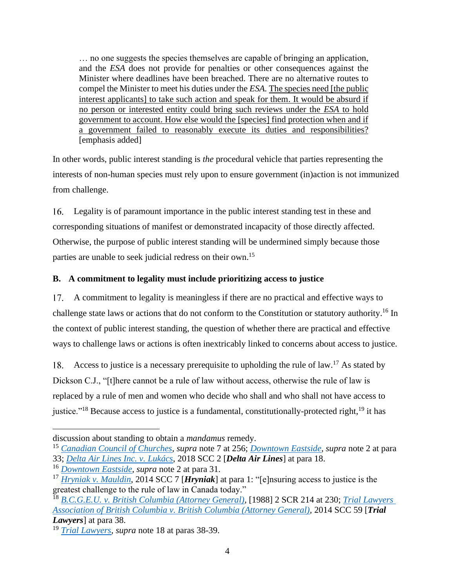… no one suggests the species themselves are capable of bringing an application, and the *ESA* does not provide for penalties or other consequences against the Minister where deadlines have been breached. There are no alternative routes to compel the Minister to meet his duties under the *ESA.* The species need [the public interest applicants] to take such action and speak for them. It would be absurd if no person or interested entity could bring such reviews under the *ESA* to hold government to account. How else would the [species] find protection when and if a government failed to reasonably execute its duties and responsibilities? [emphasis added]

In other words, public interest standing is *the* procedural vehicle that parties representing the interests of non-human species must rely upon to ensure government (in)action is not immunized from challenge.

Legality is of paramount importance in the public interest standing test in these and 16. corresponding situations of manifest or demonstrated incapacity of those directly affected. Otherwise, the purpose of public interest standing will be undermined simply because those parties are unable to seek judicial redress on their own.<sup>15</sup>

## <span id="page-14-0"></span>**B. A commitment to legality must include prioritizing access to justice**

17. A commitment to legality is meaningless if there are no practical and effective ways to challenge state laws or actions that do not conform to the Constitution or statutory authority.<sup>16</sup> In the context of public interest standing, the question of whether there are practical and effective ways to challenge laws or actions is often inextricably linked to concerns about access to justice.

Access to justice is a necessary prerequisite to upholding the rule of law.<sup>17</sup> As stated by 18. Dickson C.J., "[t]here cannot be a rule of law without access, otherwise the rule of law is replaced by a rule of men and women who decide who shall and who shall not have access to justice."<sup>18</sup> Because access to justice is a fundamental, constitutionally-protected right.<sup>19</sup> it has

discussion about standing to obtain a *mandamus* remedy.

<sup>15</sup> *[Canadian Council of Churches,](https://www.canlii.org/en/ca/scc/doc/1992/1992canlii116/1992canlii116.html) supra* note 7 at 256; *[Downtown Eastside,](https://www.canlii.org/en/ca/scc/doc/2012/2012scc45/2012scc45.html#par33) supra* note 2 at para 33; *[Delta Air Lines Inc. v. Lukács](https://www.canlii.org/en/ca/scc/doc/2018/2018scc2/2018scc2.html#par18)*, 2018 SCC 2 [*Delta Air Lines*] at para 18.

<sup>16</sup> *[Downtown Eastside,](https://www.canlii.org/en/ca/scc/doc/2012/2012scc45/2012scc45.html#par31) supra* note 2 at para 31.

<sup>17</sup> *[Hryniak v. Mauldin](https://www.canlii.org/en/ca/scc/doc/2014/2014scc7/2014scc7.html)*, 2014 SCC 7 [*Hryniak*] at para 1: "[e]nsuring access to justice is the greatest challenge to the rule of law in Canada today."

<sup>18</sup> *[B.C.G.E.U. v. British Columbia \(Attorney General\),](https://www.canlii.org/en/ca/scc/doc/1988/1988canlii3/1988canlii3.html)* [1988] 2 SCR 214 at 230; *[Trial Lawyers](https://www.canlii.org/en/ca/scc/doc/2014/2014scc59/2014scc59.html#par38)  [Association of British Columbia v. British Columbia \(Attorney General\),](https://www.canlii.org/en/ca/scc/doc/2014/2014scc59/2014scc59.html#par38)* 2014 SCC 59 [*Trial Lawyers*] at para 38.

<sup>19</sup> *[Trial Lawyers](https://www.canlii.org/en/ca/scc/doc/2014/2014scc59/2014scc59.html#par38)*, *supra* note 18 at paras 38-39.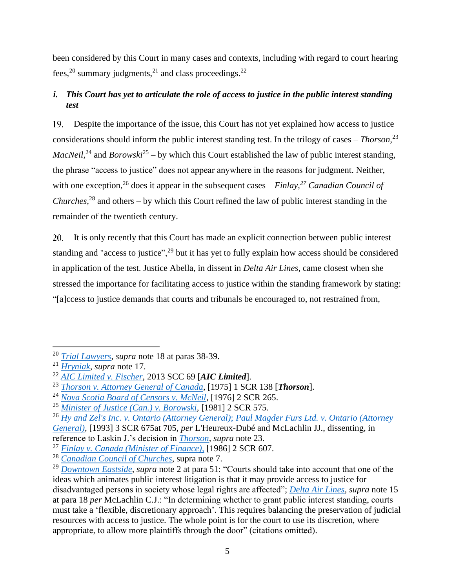been considered by this Court in many cases and contexts, including with regard to court hearing fees,<sup>20</sup> summary judgments,<sup>21</sup> and class proceedings.<sup>22</sup>

## <span id="page-15-0"></span>*i. This Court has yet to articulate the role of access to justice in the public interest standing test*

Despite the importance of the issue, this Court has not yet explained how access to justice considerations should inform the public interest standing test. In the trilogy of cases – *Thorson,*<sup>23</sup> *MacNeil*,<sup>24</sup> and *Borowski*<sup>25</sup> – by which this Court established the law of public interest standing, the phrase "access to justice" does not appear anywhere in the reasons for judgment. Neither, with one exception,<sup>26</sup> does it appear in the subsequent cases – *Finlay*,<sup>27</sup> *Canadian Council of Churches,*<sup>28</sup> and others – by which this Court refined the law of public interest standing in the remainder of the twentieth century.

 $20.$ It is only recently that this Court has made an explicit connection between public interest standing and "access to justice",<sup>29</sup> but it has yet to fully explain how access should be considered in application of the test. Justice Abella, in dissent in *Delta Air Lines,* came closest when she stressed the importance for facilitating access to justice within the standing framework by stating: "[a]ccess to justice demands that courts and tribunals be encouraged to, not restrained from,

<sup>20</sup> *[Trial Lawyers](https://www.canlii.org/en/ca/scc/doc/2014/2014scc59/2014scc59.html#par38)*, *supra* note 18 at paras 38-39.

<sup>21</sup> *[Hryniak](https://www.canlii.org/en/ca/scc/doc/2014/2014scc7/2014scc7.html)*, *supra* note 17.

<sup>22</sup> *[AIC Limited v. Fischer](https://www.canlii.org/en/ca/scc/doc/2013/2013scc69/2013scc69.html)*, 2013 SCC 69 [*AIC Limited*].

<sup>23</sup> *[Thorson v. Attorney General of Canada](https://www.canlii.org/en/ca/scc/doc/1974/1974canlii6/1974canlii6.html)*, [1975] 1 SCR 138 [*Thorson*].

<sup>24</sup> *[Nova Scotia Board of Censors v. McNeil](https://www.canlii.org/en/ca/scc/doc/1975/1975canlii14/1975canlii14.html)*, [1976] 2 SCR 265.

<sup>25</sup> *[Minister of Justice \(Can.\) v. Borowski,](https://www.canlii.org/en/ca/scc/doc/1981/1981canlii34/1981canlii34.html)* [1981] 2 SCR 575.

<sup>26</sup> *Hy and Zel's Inc. v. Ontario (Attorney General)*; *[Paul Magder Furs Ltd. v. Ontario \(Attorney](https://www.canlii.org/en/ca/scc/doc/1993/1993canlii30/1993canlii30.html)  [General\),](https://www.canlii.org/en/ca/scc/doc/1993/1993canlii30/1993canlii30.html)* [1993] 3 SCR 675at 705, *per* L'Heureux-Dubé and McLachlin JJ., dissenting, in

reference to Laskin J.'s decision in *[Thorson,](https://www.canlii.org/en/ca/scc/doc/1974/1974canlii6/1974canlii6.html) supra* note 23.

<sup>27</sup> *[Finlay v. Canada \(Minister of Finance\),](https://www.canlii.org/en/ca/scc/doc/1986/1986canlii6/1986canlii6.html)* [1986] 2 SCR 607.

<sup>28</sup> *[Canadian Council of Churches](https://www.canlii.org/en/ca/scc/doc/1992/1992canlii116/1992canlii116.html)*, supra note 7.

<sup>29</sup> *[Downtown Eastside](https://www.canlii.org/en/ca/scc/doc/2012/2012scc45/2012scc45.html#par51)*, *supra* note 2 at para 51: "Courts should take into account that one of the ideas which animates public interest litigation is that it may provide access to justice for disadvantaged persons in society whose legal rights are affected"; *[Delta Air Lines,](https://www.canlii.org/en/ca/scc/doc/2018/2018scc2/2018scc2.html#par18) supra* note 15 at para 18 *per* McLachlin C.J.: "In determining whether to grant public interest standing, courts must take a 'flexible, discretionary approach'. This requires balancing the preservation of judicial resources with access to justice. The whole point is for the court to use its discretion, where appropriate, to allow more plaintiffs through the door" (citations omitted).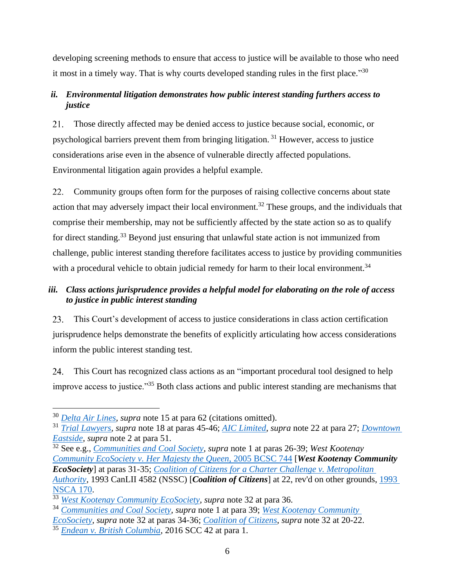developing screening methods to ensure that access to justice will be available to those who need it most in a timely way. That is why courts developed standing rules in the first place."<sup>30</sup>

## <span id="page-16-0"></span>*ii. Environmental litigation demonstrates how public interest standing furthers access to justice*

Those directly affected may be denied access to justice because social, economic, or 21. psychological barriers prevent them from bringing litigation. <sup>31</sup> However, access to justice considerations arise even in the absence of vulnerable directly affected populations. Environmental litigation again provides a helpful example.

22. Community groups often form for the purposes of raising collective concerns about state action that may adversely impact their local environment.<sup>32</sup> These groups, and the individuals that comprise their membership, may not be sufficiently affected by the state action so as to qualify for direct standing.<sup>33</sup> Beyond just ensuring that unlawful state action is not immunized from challenge, public interest standing therefore facilitates access to justice by providing communities with a procedural vehicle to obtain judicial remedy for harm to their local environment.<sup>34</sup>

## <span id="page-16-1"></span>*iii. Class actions jurisprudence provides a helpful model for elaborating on the role of access to justice in public interest standing*

23. This Court's development of access to justice considerations in class action certification jurisprudence helps demonstrate the benefits of explicitly articulating how access considerations inform the public interest standing test.

This Court has recognized class actions as an "important procedural tool designed to help improve access to justice."<sup>35</sup> Both class actions and public interest standing are mechanisms that

<sup>30</sup> *[Delta Air Lines,](https://www.canlii.org/en/ca/scc/doc/2018/2018scc2/2018scc2.html#par62) supra* note 15 at para 62 (citations omitted).

<sup>31</sup> *[Trial Lawyers,](https://www.canlii.org/en/ca/scc/doc/2014/2014scc59/2014scc59.html#par45) supra* note 18 at paras 45-46; *[AIC Limited](https://www.canlii.org/en/ca/scc/doc/2013/2013scc69/2013scc69.html#par27)*, *supra* note 22 at para 27; *[Downtown](https://www.canlii.org/en/ca/scc/doc/2012/2012scc45/2012scc45.html#par51)  [Eastside](https://www.canlii.org/en/ca/scc/doc/2012/2012scc45/2012scc45.html#par51)*, *supra* note 2 at para 51.

<sup>32</sup> See e.g., *[Communities and Coal Society,](https://www.canlii.org/en/ca/fct/doc/2018/2018fc35/2018fc35.html#par26) supra* note 1 at paras 26-39; *West Kootenay [Community EcoSociety v. Her Majesty the Queen](https://www.canlii.org/en/bc/bcsc/doc/2005/2005bcsc744/2005bcsc744.html#par31)*, 2005 BCSC 744 [*West Kootenay Community EcoSociety*] at paras 31-35; *[Coalition of Citizens for a Charter Challenge v. Metropolitan](https://www.canlii.org/en/ns/nssc/doc/1993/1993canlii4582/1993canlii4582.html)  [Authority,](https://www.canlii.org/en/ns/nssc/doc/1993/1993canlii4582/1993canlii4582.html)* 1993 CanLII 4582 (NSSC) [*Coalition of Citizens*] at 22, rev'd on other grounds, [1993](https://www.canlii.org/en/ns/nsca/doc/1993/1993canlii3111/1993canlii3111.html)  [NSCA 170.](https://www.canlii.org/en/ns/nsca/doc/1993/1993canlii3111/1993canlii3111.html)

<sup>33</sup> *[West Kootenay Community EcoSociety,](https://www.canlii.org/en/bc/bcsc/doc/2005/2005bcsc744/2005bcsc744.html#par36) supra* note 32 at para 36.

<sup>34</sup> *[Communities and Coal](https://www.canlii.org/en/ca/fct/doc/2018/2018fc35/2018fc35.html#par39) Society, supra* note 1 at para 39; *[West Kootenay](https://www.canlii.org/en/bc/bcsc/doc/2005/2005bcsc744/2005bcsc744.html#par34) Community* 

*[EcoSociety,](https://www.canlii.org/en/bc/bcsc/doc/2005/2005bcsc744/2005bcsc744.html#par34) supra* note 32 at paras 34-36; *[Coalition of Citizens](https://www.canlii.org/en/ns/nssc/doc/1993/1993canlii4582/1993canlii4582.html)*, *supra* note 32 at 20-22.

<sup>35</sup> *[Endean v. British Columbia,](https://www.canlii.org/en/ca/scc/doc/2016/2016scc42/2016scc42.html#par1)* 2016 SCC 42 at para 1.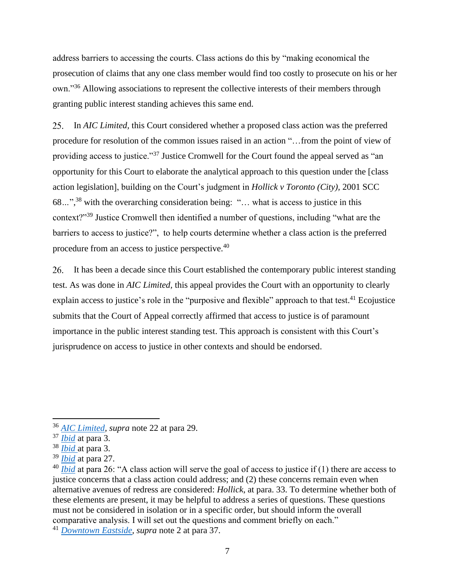address barriers to accessing the courts. Class actions do this by "making economical the prosecution of claims that any one class member would find too costly to prosecute on his or her own."<sup>36</sup> Allowing associations to represent the collective interests of their members through granting public interest standing achieves this same end.

In *AIC Limited,* this Court considered whether a proposed class action was the preferred 25. procedure for resolution of the common issues raised in an action "…from the point of view of providing access to justice."<sup>37</sup> Justice Cromwell for the Court found the appeal served as "an opportunity for this Court to elaborate the analytical approach to this question under the [class action legislation], building on the Court's judgment in *Hollick v Toronto (City),* 2001 SCC 68*…*", <sup>38</sup> with the overarching consideration being: "… what is access to justice in this context?"<sup>39</sup> Justice Cromwell then identified a number of questions, including "what are the barriers to access to justice?", to help courts determine whether a class action is the preferred procedure from an access to justice perspective.<sup>40</sup>

26. It has been a decade since this Court established the contemporary public interest standing test. As was done in *AIC Limited,* this appeal provides the Court with an opportunity to clearly explain access to justice's role in the "purposive and flexible" approach to that test.<sup>41</sup> Ecojustice submits that the Court of Appeal correctly affirmed that access to justice is of paramount importance in the public interest standing test. This approach is consistent with this Court's jurisprudence on access to justice in other contexts and should be endorsed.

<sup>41</sup> *[Downtown Eastside,](https://www.canlii.org/en/ca/scc/doc/2012/2012scc45/2012scc45.html#par37) supra* note 2 at para 37.

<sup>36</sup> *[AIC Limited,](https://www.canlii.org/en/ca/scc/doc/2013/2013scc69/2013scc69.html#par29) supra* note 22 at para 29.

<sup>37</sup> *[Ibid](https://www.canlii.org/en/ca/scc/doc/2013/2013scc69/2013scc69.html#par3)* at para 3.

<sup>38</sup> *[Ibid](https://www.canlii.org/en/ca/scc/doc/2013/2013scc69/2013scc69.html#par3)* at para 3.

<sup>39</sup> *[Ibid](https://www.canlii.org/en/ca/scc/doc/2013/2013scc69/2013scc69.html#par27)* at para 27.

<sup>&</sup>lt;sup>40</sup> *[Ibid](https://www.canlii.org/en/ca/scc/doc/2013/2013scc69/2013scc69.html#par26)* at para 26: "A class action will serve the goal of access to justice if (1) there are access to justice concerns that a class action could address; and (2) these concerns remain even when alternative avenues of redress are considered: *Hollick*, at para. 33. To determine whether both of these elements are present, it may be helpful to address a series of questions. These questions must not be considered in isolation or in a specific order, but should inform the overall comparative analysis. I will set out the questions and comment briefly on each."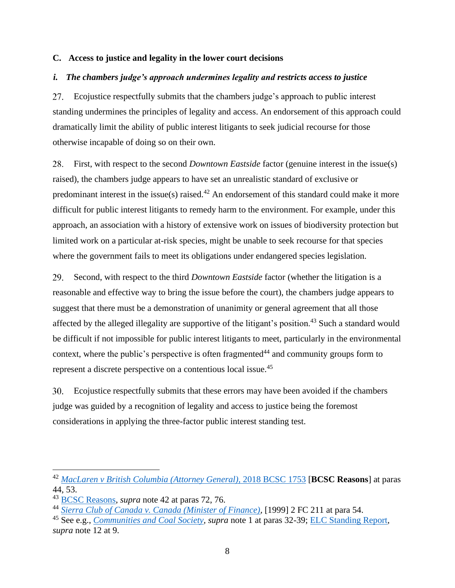#### <span id="page-18-0"></span>**C. Access to justice and legality in the lower court decisions**

#### <span id="page-18-1"></span>*i. The chambers judge's approach undermines legality and restricts access to justice*

Ecojustice respectfully submits that the chambers judge's approach to public interest 27. standing undermines the principles of legality and access. An endorsement of this approach could dramatically limit the ability of public interest litigants to seek judicial recourse for those otherwise incapable of doing so on their own.

28. First, with respect to the second *Downtown Eastside* factor (genuine interest in the issue(s) raised), the chambers judge appears to have set an unrealistic standard of exclusive or predominant interest in the issue(s) raised.<sup>42</sup> An endorsement of this standard could make it more difficult for public interest litigants to remedy harm to the environment. For example, under this approach, an association with a history of extensive work on issues of biodiversity protection but limited work on a particular at-risk species, might be unable to seek recourse for that species where the government fails to meet its obligations under endangered species legislation.

29. Second, with respect to the third *Downtown Eastside* factor (whether the litigation is a reasonable and effective way to bring the issue before the court), the chambers judge appears to suggest that there must be a demonstration of unanimity or general agreement that all those affected by the alleged illegality are supportive of the litigant's position.<sup>43</sup> Such a standard would be difficult if not impossible for public interest litigants to meet, particularly in the environmental context, where the public's perspective is often fragmented<sup>44</sup> and community groups form to represent a discrete perspective on a contentious local issue.<sup>45</sup>

Ecojustice respectfully submits that these errors may have been avoided if the chambers 30. judge was guided by a recognition of legality and access to justice being the foremost considerations in applying the three-factor public interest standing test.

<sup>42</sup> *[MacLaren v British Columbia \(Attorney General\),](https://www.canlii.org/en/bc/bcsc/doc/2018/2018bcsc1753/2018bcsc1753.html#par44)* 2018 BCSC 1753 [**BCSC Reasons**] at paras 44, 53.

<sup>43</sup> [BCSC Reasons,](https://www.canlii.org/en/bc/bcsc/doc/2018/2018bcsc1753/2018bcsc1753.html#par72) *supra* note 42 at paras 72, 76.

<sup>44</sup> *[Sierra Club of Canada v. Canada \(Minister of Finance\),](https://www.canlii.org/en/ca/fct/doc/1998/1998canlii9124/1998canlii9124.html)* [1999] 2 FC 211 at para 54.

<sup>45</sup> See e.g., *[Communities and Coal](https://www.canlii.org/en/ca/fct/doc/2018/2018fc35/2018fc35.html#par32) Society, supra* note 1 at paras 32-39; [ELC Standing Report](https://elc.ab.ca/media/98894/Report-on-standing-Final.pdf)*, supra* note 12 at 9.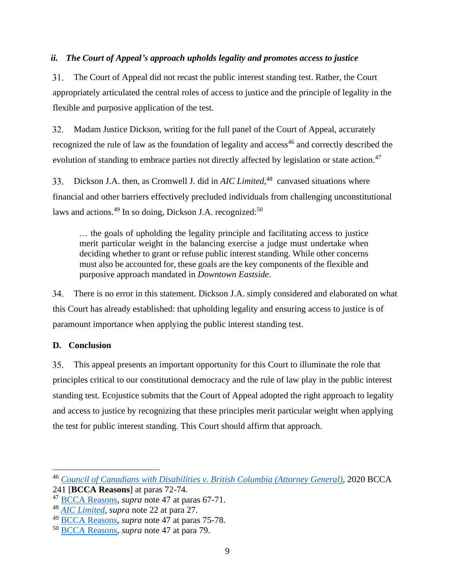## <span id="page-19-0"></span>*ii. The Court of Appeal's approach upholds legality and promotes access to justice*

31. The Court of Appeal did not recast the public interest standing test. Rather, the Court appropriately articulated the central roles of access to justice and the principle of legality in the flexible and purposive application of the test.

Madam Justice Dickson, writing for the full panel of the Court of Appeal, accurately 32. recognized the rule of law as the foundation of legality and access<sup>46</sup> and correctly described the evolution of standing to embrace parties not directly affected by legislation or state action.<sup>47</sup>

Dickson J.A. then, as Cromwell J. did in *AIC Limited*,<sup>48</sup> canvased situations where 33. financial and other barriers effectively precluded individuals from challenging unconstitutional laws and actions.<sup>49</sup> In so doing, Dickson J.A. recognized:<sup>50</sup>

… the goals of upholding the legality principle and facilitating access to justice merit particular weight in the balancing exercise a judge must undertake when deciding whether to grant or refuse public interest standing. While other concerns must also be accounted for, these goals are the key components of the flexible and purposive approach mandated in *Downtown Eastside*.

34. There is no error in this statement. Dickson J.A. simply considered and elaborated on what this Court has already established: that upholding legality and ensuring access to justice is of paramount importance when applying the public interest standing test.

## <span id="page-19-1"></span>**D. Conclusion**

35. This appeal presents an important opportunity for this Court to illuminate the role that principles critical to our constitutional democracy and the rule of law play in the public interest standing test. Ecojustice submits that the Court of Appeal adopted the right approach to legality and access to justice by recognizing that these principles merit particular weight when applying the test for public interest standing. This Court should affirm that approach.

<sup>46</sup> *[Council of Canadians with Disabilities v. British Columbia \(Attorney General\),](https://www.canlii.org/en/bc/bcca/doc/2020/2020bcca241/2020bcca241.html#par72)* 2020 BCCA

<sup>241</sup> [**BCCA Reasons**] at paras 72-74.

<sup>47</sup> [BCCA Reasons,](https://www.canlii.org/en/bc/bcca/doc/2020/2020bcca241/2020bcca241.html#par67) *supra* note 47 at paras 67-71.

<sup>48</sup> *[AIC Limited,](https://www.canlii.org/en/ca/scc/doc/2013/2013scc69/2013scc69.html#par27) supra* note 22 at para 27.

<sup>49</sup> [BCCA Reasons,](https://www.canlii.org/en/bc/bcca/doc/2020/2020bcca241/2020bcca241.html#par75) *supra* note 47 at paras 75-78.

<sup>50</sup> [BCCA Reasons,](https://www.canlii.org/en/bc/bcca/doc/2020/2020bcca241/2020bcca241.html#par79) *supra* note 47 at para 79.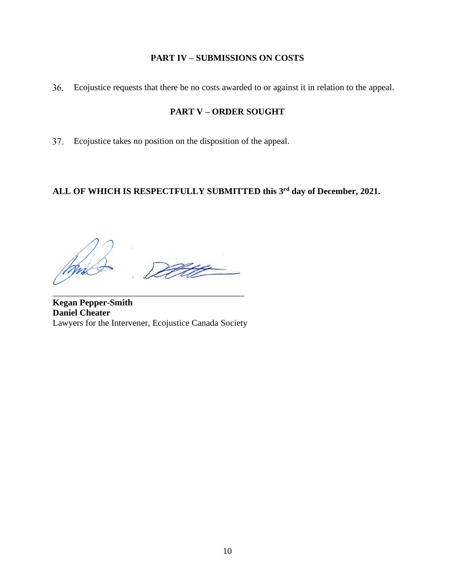## **PART IV – SUBMISSIONS ON COSTS**

<span id="page-20-1"></span><span id="page-20-0"></span>Ecojustice requests that there be no costs awarded to or against it in relation to the appeal.

## **PART V – ORDER SOUGHT**

Ecojustice takes no position on the disposition of the appeal.

## **ALL OF WHICH IS RESPECTFULLY SUBMITTED this 3 rd day of December, 2021.**

**Kegan Pepper-Smith Daniel Cheater**  Lawyers for the Intervener, Ecojustice Canada Society

\_\_\_\_\_\_\_\_\_\_\_\_\_\_\_\_\_\_\_\_\_\_\_\_\_\_\_\_\_\_\_\_\_\_\_\_\_\_\_\_\_\_\_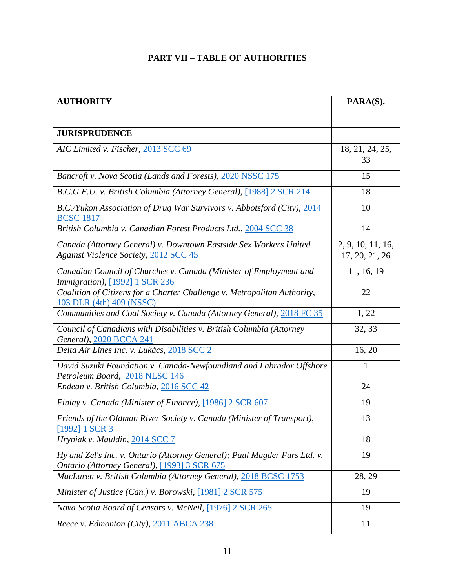## **PART VII – TABLE OF AUTHORITIES**

<span id="page-21-0"></span>

| <b>AUTHORITY</b>                                                                                                          | PARA(S),                            |
|---------------------------------------------------------------------------------------------------------------------------|-------------------------------------|
|                                                                                                                           |                                     |
| <b>JURISPRUDENCE</b>                                                                                                      |                                     |
| AIC Limited v. Fischer, 2013 SCC 69                                                                                       | 18, 21, 24, 25,<br>33               |
| Bancroft v. Nova Scotia (Lands and Forests), 2020 NSSC 175                                                                | 15                                  |
| B.C.G.E.U. v. British Columbia (Attorney General), [1988] 2 SCR 214                                                       | 18                                  |
| B.C./Yukon Association of Drug War Survivors v. Abbotsford (City), 2014<br><b>BCSC 1817</b>                               | 10                                  |
| British Columbia v. Canadian Forest Products Ltd., 2004 SCC 38                                                            | 14                                  |
| Canada (Attorney General) v. Downtown Eastside Sex Workers United<br><b>Against Violence Society, 2012 SCC 45</b>         | 2, 9, 10, 11, 16,<br>17, 20, 21, 26 |
| Canadian Council of Churches v. Canada (Minister of Employment and<br>Immigration), [1992] 1 SCR 236                      | 11, 16, 19                          |
| Coalition of Citizens for a Charter Challenge v. Metropolitan Authority,<br>103 DLR (4th) 409 (NSSC)                      | 22                                  |
| Communities and Coal Society v. Canada (Attorney General), 2018 FC 35                                                     | 1, 22                               |
| Council of Canadians with Disabilities v. British Columbia (Attorney<br>General), 2020 BCCA 241                           | 32, 33                              |
| Delta Air Lines Inc. v. Lukács, 2018 SCC 2                                                                                | 16, 20                              |
| David Suzuki Foundation v. Canada-Newfoundland and Labrador Offshore<br>Petroleum Board, 2018 NLSC 146                    | 1                                   |
| Endean v. British Columbia, 2016 SCC 42                                                                                   | 24                                  |
| Finlay v. Canada (Minister of Finance), [1986] 2 SCR 607                                                                  | 19                                  |
| Friends of the Oldman River Society v. Canada (Minister of Transport),<br>[1992] 1 SCR 3                                  | 13                                  |
| Hryniak v. Mauldin, 2014 SCC 7                                                                                            | 18                                  |
| Hy and Zel's Inc. v. Ontario (Attorney General); Paul Magder Furs Ltd. v.<br>Ontario (Attorney General), [1993] 3 SCR 675 | 19                                  |
| MacLaren v. British Columbia (Attorney General), 2018 BCSC 1753                                                           | 28, 29                              |
| Minister of Justice (Can.) v. Borowski, [1981] 2 SCR 575                                                                  | 19                                  |
| Nova Scotia Board of Censors v. McNeil, [1976] 2 SCR 265                                                                  | 19                                  |
| Reece v. Edmonton (City), 2011 ABCA 238                                                                                   | 11                                  |